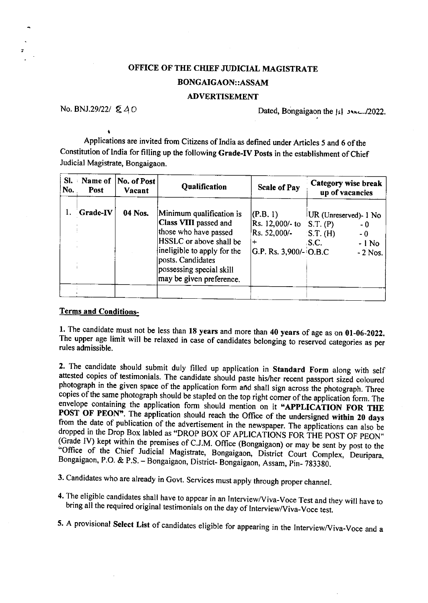## OFFICE OF THE CHIEF JUDICIAL MAGISTRATE BONGAIGAON::ASSAM

## ADVERTISEMENT

No. BNJ.29/22/  $\&$  40 Dated, Bongaigaon the  $\{s\}$  3 vx - /2022.

Applications are invited from Citizens of India as defined under Articles 5 and 6 of the Constitution of lndia for filling up the following Grade-Iv posts in the establishment of chief Judicial Magistrate, Bongaigaon.

| SI.<br>No. | Name of<br>Post | No. of Post<br>Vacant | Qualification                                                                                                                                                                                                            | <b>Scale of Pay</b>                                                       | Category wise break<br>up of vacancies                                                      |
|------------|-----------------|-----------------------|--------------------------------------------------------------------------------------------------------------------------------------------------------------------------------------------------------------------------|---------------------------------------------------------------------------|---------------------------------------------------------------------------------------------|
|            | Grade-IV        | 04 Nos.               | Minimum qualification is<br><b>Class VIII</b> passed and<br>those who have passed<br>HSSLC or above shall be<br>ineligible to apply for the<br>posts. Candidates<br>possessing special skill<br>may be given preference. | (P.B. 1)<br>Rs. 12,000/- to<br>Rs. 52,000/-<br>$ G.P. Rs. 3,900/- O.B.C.$ | UR (Unreserved)- 1 No<br>S.T. (P)<br>- 0<br>ST. (H)<br>$-0$<br>S.C.<br>$-1$ No<br>$-2$ Nos. |
|            |                 |                       |                                                                                                                                                                                                                          |                                                                           |                                                                                             |

## Terms and Conditions-

1. The candidate must not be less than 18 years and more than 40 years of age as on 01-06-2022. The upper age limit will be relaxed in case of candidates belonging to reserved categories as per rules admissible.

2. The candidate should submit duly filled up application in Standard Form along with self attested copies of testimonials. The candidate should paste his/her recent passport sized coloured photograph in the given space of envelope containing the application form should mention on it "APPLICATION FOR THE POST OF PEON". The application should reach the Office of the undersigned within 20 days from the date of publication of the advertisement in the newspaper. The applications can also be dropped in the Drop Box labled as "DROP BOX OF APLICATIONS FOR THE POST OF PEON" (Grade IV) kept within the premises of C.J.M. Office (Bongaigaon) or may be sent by post to the "Office of the Chief Judicial Magistrate, Bongaigaon, District Court Complex, Deuripara, Bongaigaon, P.O. & P.S. - Bongaigaon, District-Bongaigaon, Assam, Pin- 783380.

3. Candidates who are already in Govt. Services must apply through proper channel.

4. The eligible candidates shall have to appear in an Interview/Viva-Voce Test and they will have to bring all the required original testimonials on the day of Interview/Viva-Voce test.

5. A provisional Select List of candidates eligible for appearing in the Interview/Viva-Voce and a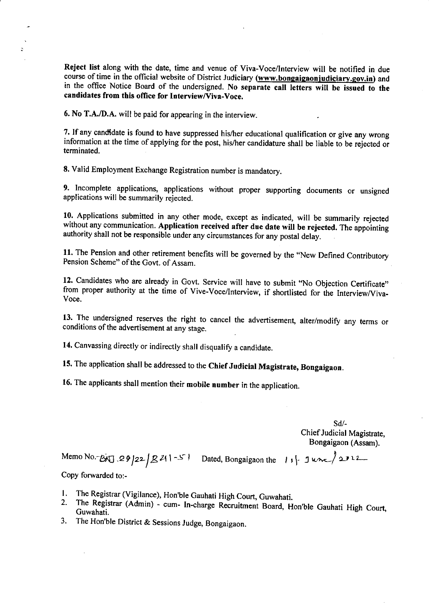Reject list along with the date, time and venue of viva-voce/lnterview will be notified in due course of time in the official website of District Judiciary (www.bongaigaonjudiciary.gov.in) and in the oflice Notice Board of the undersigned. No separate call letters will be issued to the candidates from this office for Interview/Viva-Voce.

6. No T.A./D.A. will be paid for appearing in the interview.

Ď.

7. If any candidate is found to have suppressed his/her educational qualification or give any wrong information at the time of applying for the post, his/her candidature shall be liable to be rejected or terminated.

8. Valid Employment Exchange Registration number is mandatory.

9. Incomplete applications, applications without proper supporting documents or unsigned applications will be summarily rejected.

10. Applications submitted in any other mode, except as indicated, will be summarily rejected without any communication. Application received after due date will be rejected. The appointing authority shall not be responsible under any circumstances for any postal delay.

11. The Pension and other retirement benefits will be governed by the "New Defined Contributory Pension Scheme" of the Govt. of Assam.

12. Candidates who are already in Govt. Service will have to submit "No Objection Certificate" from proper authority at the time of Vive-Voce/Interview, if shortlisted for the Interview/Viva-Voce.

13. The undersigned reserves the right to cancel the advertisement, alter/modify any terms or conditions of the advertisement at any stage.

14. Canvassing directly or indirectly shall disqualify a candidate.

15. The application shall be addressed to the Chief Judicial Magistrate, Bongaigaon.

16. The applicants shall mention their mobile number in the application.

sd/- Chief Judicial Magistrate, Bongaigaon (Assam).

Memo No.-666 .29 22 |  $\mathbb{Z}$  41-5 . Dated, Bongaigaon the  $\{1, 1\}$ - June  $\{21.2...$ 

Copy forwarded to:-

- 
- I. The Registrar (Vigilance), Hon'ble Gauhati High Court, Guwahati.<br>2. The Registrar (Admin) cum- In-charge Recruitment Board, Hon'ble Gauhati High Court, Guwahati.
- 3. The Hon'ble District & Sessions Judge, Bongaigaon.